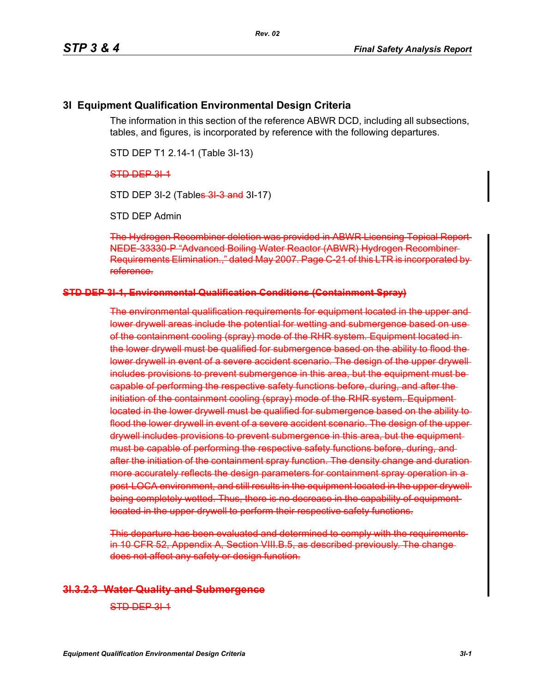## **3I Equipment Qualification Environmental Design Criteria**

The information in this section of the reference ABWR DCD, including all subsections, tables, and figures, is incorporated by reference with the following departures.

STD DEP T1 2.14-1 (Table 3I-13)

STD DEP 3L<sub>1</sub>

STD DEP 3I-2 (Tables 3I 3 and 3I-17)

STD DEP Admin

The Hydrogen Recombiner deletion was provided in ABWR Licensing Topical Report NEDE-33330-P "Advanced Boiling Water Reactor (ABWR) Hydrogen Recombiner Requirements Elimination.," dated May 2007. Page C-21 of this LTR is incorporated by reference.

#### **STD DEP 3I-1, Environmental Qualification Conditions (Containment Spray)**

The environmental qualification requirements for equipment located in the upper and lower drywell areas include the potential for wetting and submergence based on use of the containment cooling (spray) mode of the RHR system. Equipment located inthe lower drywell must be qualified for submergence based on the ability to flood the lower drywell in event of a severe accident scenario. The design of the upper drywellincludes provisions to prevent submergence in this area, but the equipment must be capable of performing the respective safety functions before, during, and after the initiation of the containment cooling (spray) mode of the RHR system. Equipment located in the lower drywell must be qualified for submergence based on the ability to flood the lower drywell in event of a severe accident scenario. The design of the upperdrywell includes provisions to prevent submergence in this area, but the equipment must be capable of performing the respective safety functions before, during, and after the initiation of the containment spray function. The density change and duration more accurately reflects the design parameters for containment spray operation in a post-LOCA environment, and still results in the equipment located in the upper drywell being completely wetted. Thus, there is no decrease in the capability of equipment located in the upper drywell to perform their respective safety functions.

This departure has been evaluated and determined to comply with the requirements in 10 CFR 52, Appendix A, Section VIII.B.5, as described previously. The change does not affect any safety or design function.

### **3I.3.2.3 Water Quality and Submergence**

STD DEP 3L1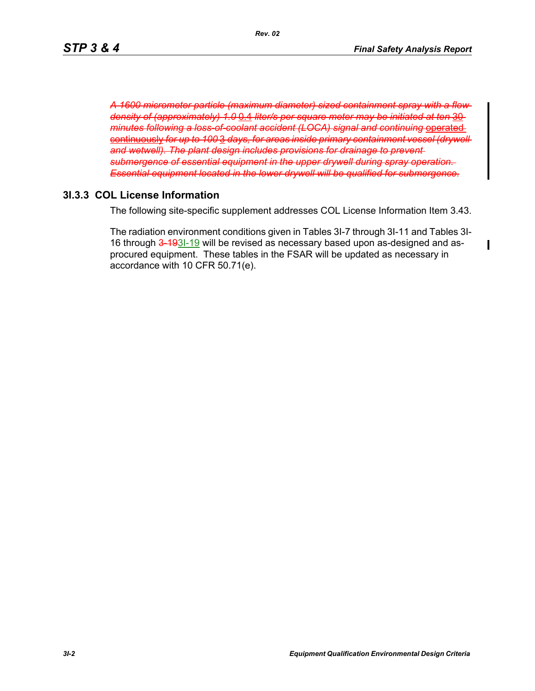$\blacksquare$ 

*A 1600 micrometer particle (maximum diameter) sized containment spray with a flow density of (approximately) 1.0* 0.4 *liter/s per square meter may be initiated at ten* 30 *minutes following a loss-of-coolant accident (LOCA) signal and continuing or* continuously for up to 100 3 days, for areas inside primary containment vess and wetwell). The plant design includes provisions for drainage to prevent and **produce submergence of essential equipment in the upper drywell during spr Essential equipment located in the lower drywell will be qualified for** 

# **3I.3.3 COL License Information**

The following site-specific supplement addresses COL License Information Item 3.43.

The radiation environment conditions given in Tables 3I-7 through 3I-11 and Tables 3I-16 through 3-193I-19 will be revised as necessary based upon as-designed and asprocured equipment. These tables in the FSAR will be updated as necessary in accordance with 10 CFR 50.71(e).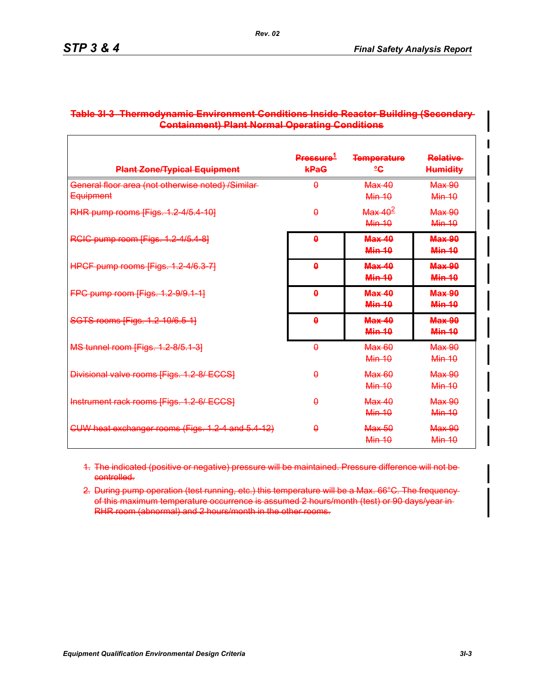| <b>Plant Zone/Typical Equipment</b>                                   | Pressure <sup>1</sup><br>kPaG | <b>Temperature</b><br>≗G       | <b>Relative</b><br><b>Humidity</b> |
|-----------------------------------------------------------------------|-------------------------------|--------------------------------|------------------------------------|
| General floor area (not otherwise noted) /Similar<br><b>Equipment</b> | $\theta$                      | $Max$ 40<br><b>Min 10</b>      | Max 90<br>$Min-10$                 |
| RHR pump rooms [Figs. 1.2 4/5.4 10]                                   | A                             | Max 40 <sup>2</sup><br>Min 10  | Max,90<br>Min 10                   |
| RCIC pump room [Figs. 1.2-4/5.4-8]                                    | Δ                             | Max40<br><b>Min 10</b>         | <b>Max 90</b><br><b>Min 10</b>     |
| HPCF pump rooms [Figs. 1.2-4/6.3-7]                                   | $\mathbf{a}$                  | Max40<br><b>Min 10</b>         | <b>Max 90</b><br><b>Min-10</b>     |
| FPC pump room [Figs. 1.2-9/9.1-1]                                     | $\mathbf{a}$                  | <b>Max 40</b><br><b>Min 10</b> | <b>Max 90</b><br><b>Min 10</b>     |
| SGTS rooms [Figs. 1.2-10/6.5-1]                                       | ۵                             | Max 40<br><b>Min 10</b>        | <b>Max 90</b><br><b>Min 10</b>     |
| MS tunnel room [Figs. 1.2-8/5.1-3]                                    | θ                             | <b>Max 60</b><br>$Min-10$      | <b>Max 90</b><br>$Min-10$          |
| Divisional valve rooms [Figs. 1.2 8/ ECCS]                            | Ĥ                             | <b>Max 60</b><br>Min 10        | Max 90<br>Min 10                   |
| Instrument rack rooms [Figs. 1.2-6/ ECCS]                             | A                             | Max 40<br>$Min-10$             | Max 90<br>$Min-10$                 |
| CUW heat exchanger rooms (Figs. 1.2-4 and 5.4-12)                     | A                             | <b>Max 50</b><br>$Min-10$      | <b>Max 90</b><br>$Min-10$          |

## **Table 3I-3 Thermodynamic Environment Conditions Inside Reactor Building (Secondary Containment) Plant Normal Operating Conditions**

*Rev. 02*

1. The indicated (positive or negative) pressure will be maintained. Pressure difference will not be controlled.

2. During pump operation (test running, etc.) this temperature will be a Max. 66°C. The frequency of this maximum temperature occurrence is assumed 2 hours/month (test) or 90 days/year in RHR room (abnormal) and 2 hours/month in the other rooms.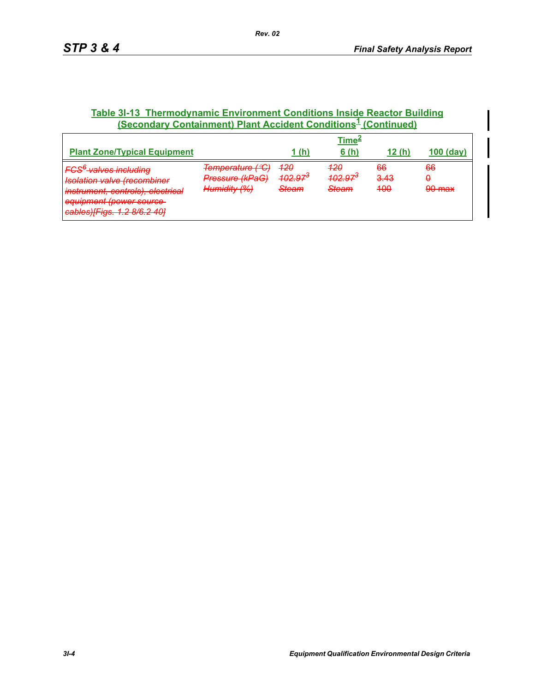## **Table 3I-13 Thermodynamic Environment Conditions Inside Reactor Building (Secondary Containment) Plant Accident Conditions<sup>1</sup> (Continued)**

|                                                                                                                                                                              | <u>Time<sup>∠</sup></u>                             |                                                                         |                                              |                              |                             |  |
|------------------------------------------------------------------------------------------------------------------------------------------------------------------------------|-----------------------------------------------------|-------------------------------------------------------------------------|----------------------------------------------|------------------------------|-----------------------------|--|
| <b>Plant Zone/Typical Equipment</b>                                                                                                                                          |                                                     | 1 (h)                                                                   | 6(h)                                         | <u>12 (h.</u>                | $100$ (day)                 |  |
| <b>FCS<sup>6</sup>-valves including</b><br><b>Isolation valve (recombiner</b><br>instrument, controls), electrical<br>equipment (power source<br>cables)[Figs. 1.2 8/6.2 40] | Temperature (°C)<br>Pressure (kPaG)<br>Humidity (%) | <del>120</del><br><del>102.97</del><br><b>Steem</b><br><del>otcam</del> | 420<br><del>102.97</del><br><del>Steam</del> | <del>66</del><br>3.43<br>400 | 66<br>A<br>$90 \text{ max}$ |  |